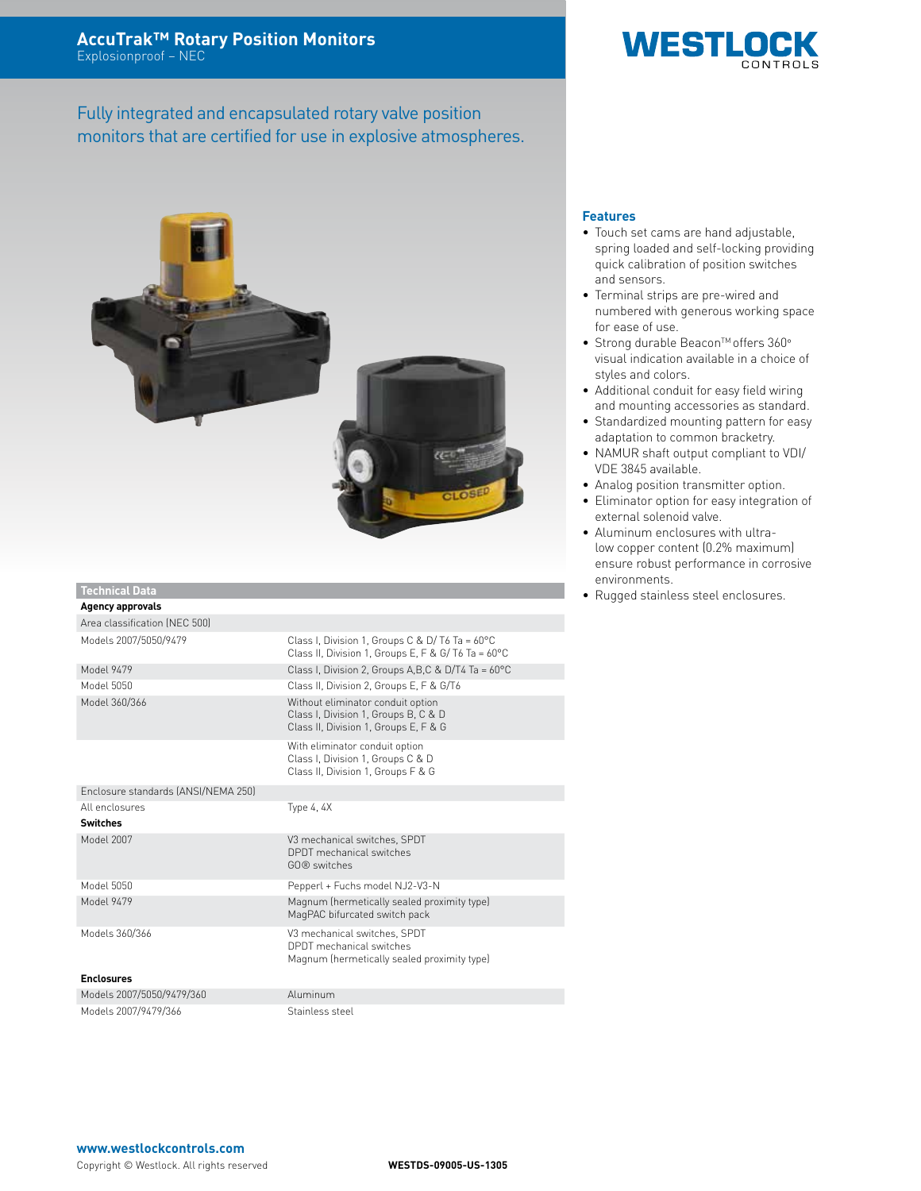Fully integrated and encapsulated rotary valve position monitors that are certified for use in explosive atmospheres.



### **Technical Data**

| <b>Agency approvals</b>             |                                                                                                                    |
|-------------------------------------|--------------------------------------------------------------------------------------------------------------------|
| Area classification (NEC 500)       |                                                                                                                    |
| Models 2007/5050/9479               | Class I, Division 1, Groups C & D/T6 Ta = $60^{\circ}$ C<br>Class II, Division 1, Groups E, F & G/T6 Ta = 60°C     |
| Model 9479                          | Class I, Division 2, Groups A, B, C & D/T4 Ta = 60°C                                                               |
| Model 5050                          | Class II, Division 2, Groups E, F & G/T6                                                                           |
| Model 360/366                       | Without eliminator conduit option<br>Class I, Division 1, Groups B, C & D<br>Class II, Division 1, Groups E, F & G |
|                                     | With eliminator conduit option<br>Class I, Division 1, Groups C & D<br>Class II, Division 1, Groups F & G          |
| Enclosure standards (ANSI/NEMA 250) |                                                                                                                    |
| All enclosures                      | Type 4, 4X                                                                                                         |
| <b>Switches</b>                     |                                                                                                                    |
| Model 2007                          | V3 mechanical switches, SPDT<br>DPDT mechanical switches<br>GO® switches                                           |
| Model 5050                          | Pepperl + Fuchs model NJ2-V3-N                                                                                     |
| Model 9479                          | Magnum (hermetically sealed proximity type)<br>MagPAC bifurcated switch pack                                       |
| Models 360/366                      | V3 mechanical switches, SPDT<br>DPDT mechanical switches<br>Magnum (hermetically sealed proximity type)            |
| <b>Enclosures</b>                   |                                                                                                                    |
| Models 2007/5050/9479/360           | Aluminum                                                                                                           |
| Models 2007/9479/366                | Stainless steel                                                                                                    |

## **Features**

• Touch set cams are hand adjustable, spring loaded and self-locking providing quick calibration of position switches and sensors.

**WESTLO** 

- Terminal strips are pre-wired and numbered with generous working space for ease of use.
- Strong durable Beacon<sup>™</sup> offers 360° visual indication available in a choice of styles and colors.
- Additional conduit for easy field wiring and mounting accessories as standard.
- Standardized mounting pattern for easy adaptation to common bracketry.
- NAMUR shaft output compliant to VDI/ VDE 3845 available.
- Analog position transmitter option.
- Eliminator option for easy integration of external solenoid valve.
- Aluminum enclosures with ultralow copper content (0.2% maximum) ensure robust performance in corrosive environments.
- Rugged stainless steel enclosures.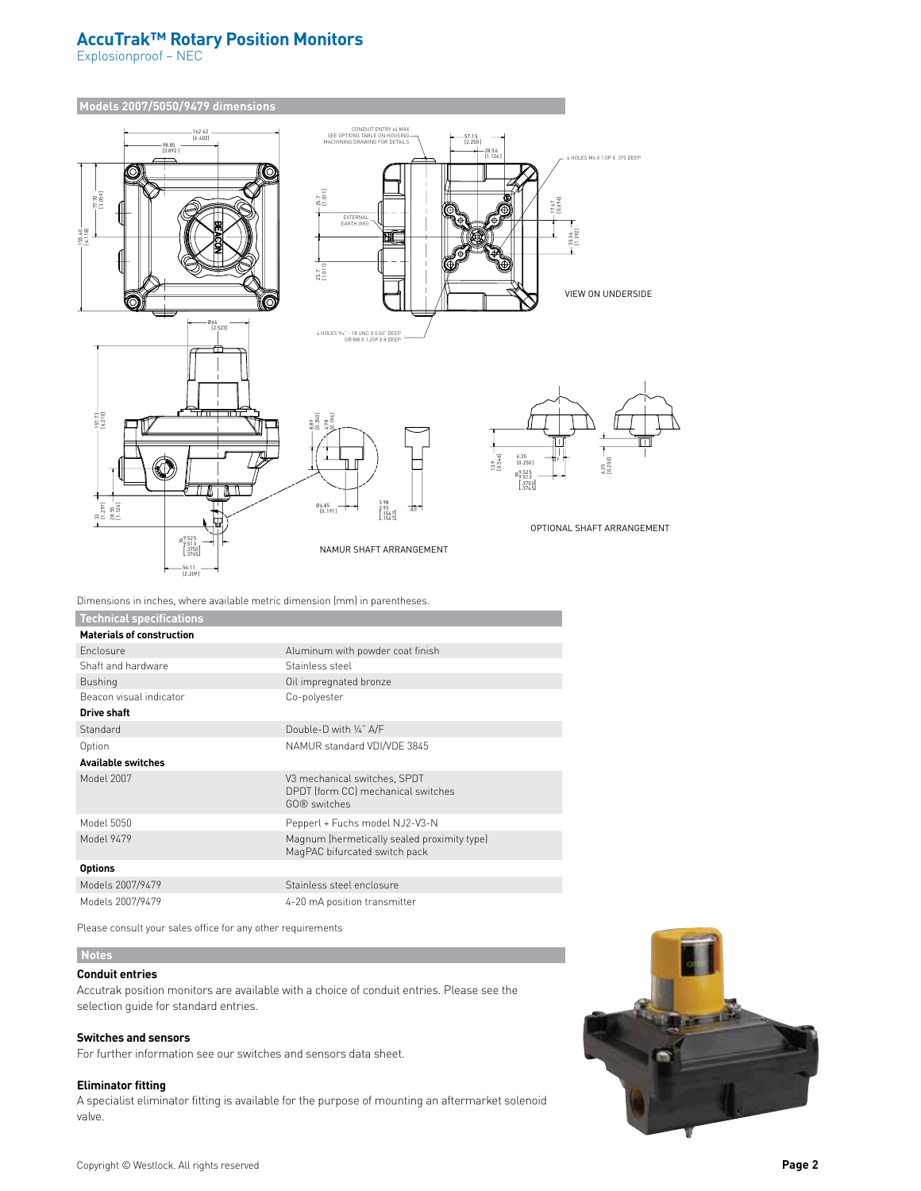# **AccuTrak™ Rotary Position Monitors**

Explosionproof – NEC



Dimensions in inches, where available metric dimension (mm) in parentheses.

| <b>Technical specifications</b>  |                                                                                    |
|----------------------------------|------------------------------------------------------------------------------------|
| <b>Materials of construction</b> |                                                                                    |
| Enclosure                        | Aluminum with powder coat finish                                                   |
| Shaft and hardware               | Stainless steel                                                                    |
| <b>Bushing</b>                   | Oil impregnated bronze                                                             |
| Beacon visual indicator          | Co-polyester                                                                       |
| <b>Drive shaft</b>               |                                                                                    |
| Standard                         | Double-D with 1/4" A/F                                                             |
| Option                           | NAMUR standard VDI/VDE 3845                                                        |
| <b>Available switches</b>        |                                                                                    |
| Model 2007                       | V3 mechanical switches, SPDT<br>DPDT (form CC) mechanical switches<br>GO® switches |
| Model 5050                       | Pepperl + Fuchs model NJ2-V3-N                                                     |
| Model 9479                       | Magnum (hermetically sealed proximity type)<br>MagPAC bifurcated switch pack       |
| <b>Options</b>                   |                                                                                    |
| Models 2007/9479                 | Stainless steel enclosure                                                          |
| Models 2007/9479                 | 4-20 mA position transmitter                                                       |

Please consult your sales office for any other requirements

### **Notes**

## **Conduit entries**

Accutrak position monitors are available with a choice of conduit entries. Please see the selection guide for standard entries.

### **Switches and sensors**

For further information see our switches and sensors data sheet.

### **Eliminator fitting**

A specialist eliminator fitting is available for the purpose of mounting an aftermarket solenoid valve.

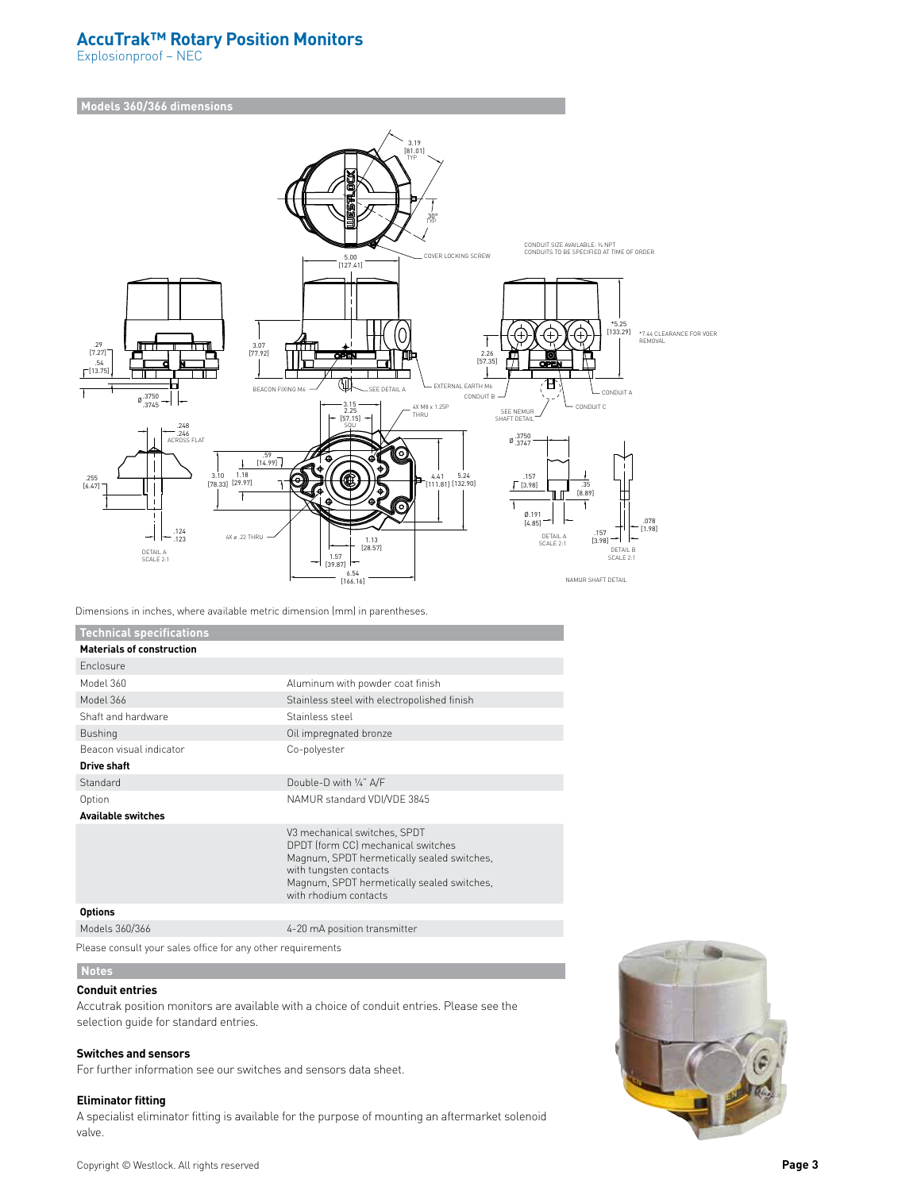# **AccuTrak™ Rotary Position Monitors**

Explosionproof – NEC

## **Models 360/366 dimensions**



Dimensions in inches, where available metric dimension (mm) in parentheses.

| <b>Technical specifications</b>  |                                                                                                                                                                                                                   |
|----------------------------------|-------------------------------------------------------------------------------------------------------------------------------------------------------------------------------------------------------------------|
| <b>Materials of construction</b> |                                                                                                                                                                                                                   |
| <b>Enclosure</b>                 |                                                                                                                                                                                                                   |
| Model 360                        | Aluminum with powder coat finish                                                                                                                                                                                  |
| Model 366                        | Stainless steel with electropolished finish                                                                                                                                                                       |
| Shaft and hardware               | Stainless steel                                                                                                                                                                                                   |
| <b>Bushing</b>                   | Oil impregnated bronze                                                                                                                                                                                            |
| Beacon visual indicator          | Co-polyester                                                                                                                                                                                                      |
| <b>Drive shaft</b>               |                                                                                                                                                                                                                   |
| Standard                         | Double-D with 1/4" A/F                                                                                                                                                                                            |
| Option                           | NAMUR standard VDI/VDE 3845                                                                                                                                                                                       |
| <b>Available switches</b>        |                                                                                                                                                                                                                   |
|                                  | V3 mechanical switches, SPDT<br>DPDT (form CC) mechanical switches<br>Magnum, SPDT hermetically sealed switches,<br>with tungsten contacts<br>Magnum, SPDT hermetically sealed switches,<br>with rhodium contacts |
| <b>Options</b>                   |                                                                                                                                                                                                                   |
| Models 360/366                   | 4-20 mA position transmitter                                                                                                                                                                                      |

Please consult your sales office for any other requirements

### **Notes**

## **Conduit entries**

Accutrak position monitors are available with a choice of conduit entries. Please see the selection guide for standard entries.

### **Switches and sensors**

For further information see our switches and sensors data sheet.

### **Eliminator fitting**

A specialist eliminator fitting is available for the purpose of mounting an aftermarket solenoid valve.

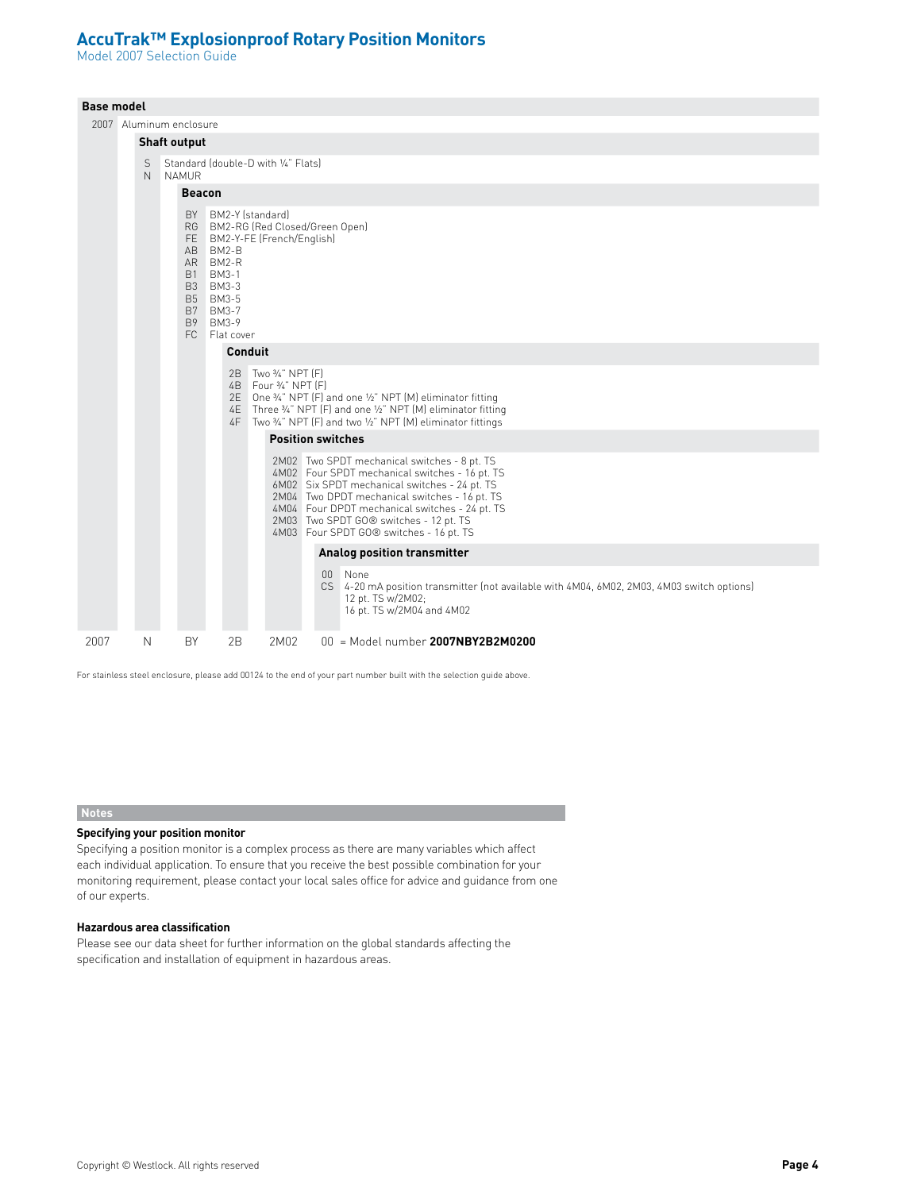Model 2007 Selection Guide

|      | <b>Base model</b>                                              |   |                         |                                                                                                   |                                                                                                               |                                                                                                                                                                                                                                                                                              |  |  |  |  |  |  |
|------|----------------------------------------------------------------|---|-------------------------|---------------------------------------------------------------------------------------------------|---------------------------------------------------------------------------------------------------------------|----------------------------------------------------------------------------------------------------------------------------------------------------------------------------------------------------------------------------------------------------------------------------------------------|--|--|--|--|--|--|
|      |                                                                |   | 2007 Aluminum enclosure |                                                                                                   |                                                                                                               |                                                                                                                                                                                                                                                                                              |  |  |  |  |  |  |
|      |                                                                |   | <b>Shaft output</b>     |                                                                                                   |                                                                                                               |                                                                                                                                                                                                                                                                                              |  |  |  |  |  |  |
|      | Standard (double-D with 1/4" Flats)<br>S<br>N.<br><b>NAMUR</b> |   |                         |                                                                                                   |                                                                                                               |                                                                                                                                                                                                                                                                                              |  |  |  |  |  |  |
|      |                                                                |   | <b>Beacon</b>           |                                                                                                   |                                                                                                               |                                                                                                                                                                                                                                                                                              |  |  |  |  |  |  |
|      |                                                                |   |                         | AB BM2-B<br>AR BM2-R<br>B1 BM3-1<br>B3 BM3-3<br>B5 BM3-5<br>B7 BM3-7<br>B9 BM3-9<br>FC Flat cover | BY BM2-Y (standard)<br>FE BM2-Y-FE (French/English)<br>Conduit<br>2B Two 3/4" NPT [F]<br>4B Four 3/4" NPT [F] | RG BM2-RG (Red Closed/Green Open)<br>2E One 3/4" NPT (F) and one 1/2" NPT (M) eliminator fitting<br>4E Three %" NPT (F) and one %" NPT (M) eliminator fitting<br>4F Two 3/4" NPT (F) and two 1/2" NPT (M) eliminator fittings<br><b>Position switches</b>                                    |  |  |  |  |  |  |
|      |                                                                |   |                         |                                                                                                   |                                                                                                               | 2M02 Two SPDT mechanical switches - 8 pt. TS<br>4M02 Four SPDT mechanical switches - 16 pt. TS<br>6M02 Six SPDT mechanical switches - 24 pt. TS<br>2M04 Two DPDT mechanical switches - 16 pt. TS<br>4M04 Four DPDT mechanical switches - 24 pt. TS<br>2M03 Two SPDT GO® switches - 12 pt. TS |  |  |  |  |  |  |
|      |                                                                |   |                         |                                                                                                   |                                                                                                               | 4M03 Four SPDT GO® switches - 16 pt. TS                                                                                                                                                                                                                                                      |  |  |  |  |  |  |
|      |                                                                |   |                         |                                                                                                   |                                                                                                               | Analog position transmitter                                                                                                                                                                                                                                                                  |  |  |  |  |  |  |
|      |                                                                |   |                         |                                                                                                   |                                                                                                               | 00 None<br>CS 4-20 mA position transmitter (not available with 4M04, 6M02, 2M03, 4M03 switch options)<br>12 pt. TS w/2M02;<br>16 pt. TS w/2M04 and 4M02                                                                                                                                      |  |  |  |  |  |  |
| 2007 |                                                                | N | <b>BY</b>               | 2B                                                                                                | 2M02                                                                                                          | $00 =$ Model number 2007NBY2B2M0200                                                                                                                                                                                                                                                          |  |  |  |  |  |  |

For stainless steel enclosure, please add 00124 to the end of your part number built with the selection guide above.

### **Notes**

### **Specifying your position monitor**

Specifying a position monitor is a complex process as there are many variables which affect each individual application. To ensure that you receive the best possible combination for your monitoring requirement, please contact your local sales office for advice and guidance from one of our experts.

## **Hazardous area classification**

Please see our data sheet for further information on the global standards affecting the specification and installation of equipment in hazardous areas.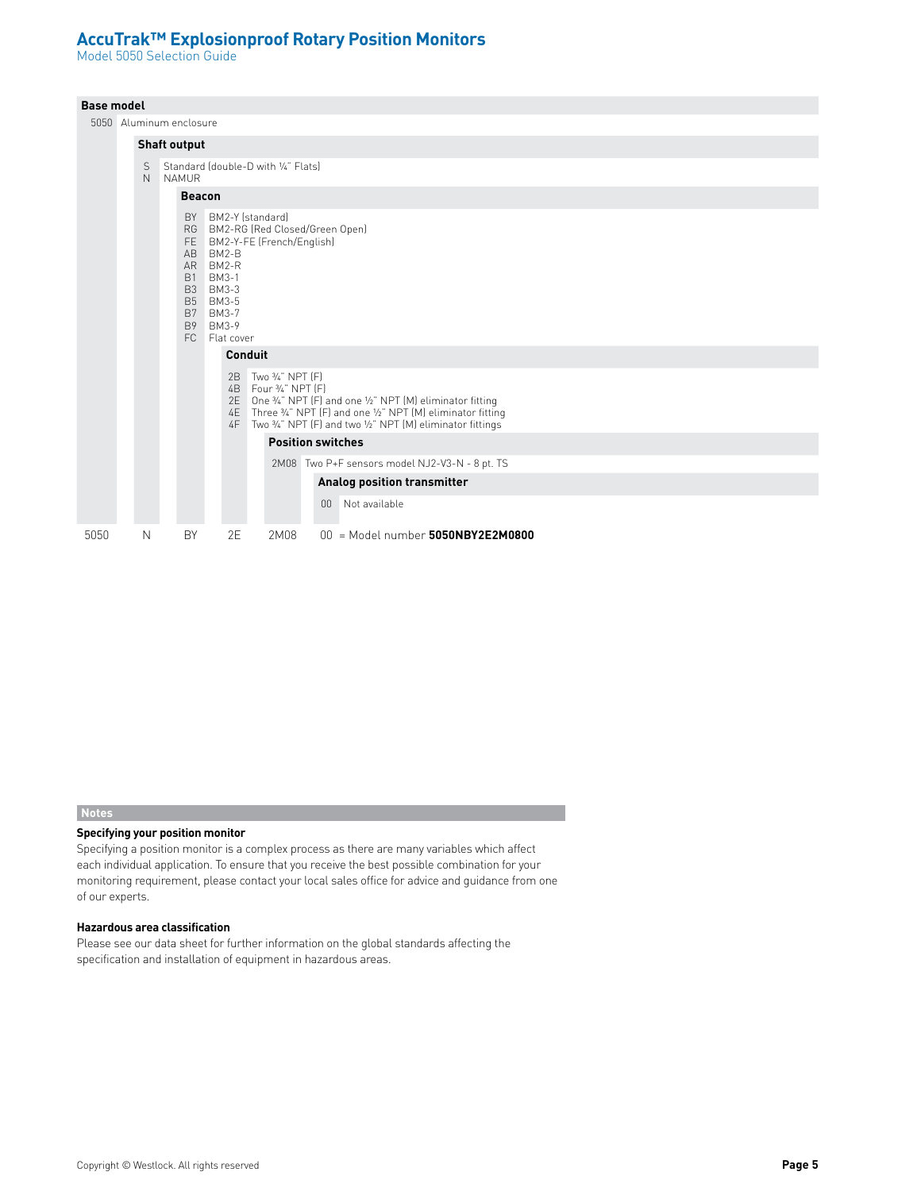Model 5050 Selection Guide

## **Base model**

5050 Alu

|      |                                                                                                                                                                                                              | bubu Aluminum enclosure                                       |                                                                                                                                                                                           |         |  |    |                                       |  |  |  |  |  |
|------|--------------------------------------------------------------------------------------------------------------------------------------------------------------------------------------------------------------|---------------------------------------------------------------|-------------------------------------------------------------------------------------------------------------------------------------------------------------------------------------------|---------|--|----|---------------------------------------|--|--|--|--|--|
|      |                                                                                                                                                                                                              | <b>Shaft output</b>                                           |                                                                                                                                                                                           |         |  |    |                                       |  |  |  |  |  |
|      | S<br>N                                                                                                                                                                                                       | Standard (double-D with 1/4" Flats)<br>NAMUR<br><b>Beacon</b> |                                                                                                                                                                                           |         |  |    |                                       |  |  |  |  |  |
|      |                                                                                                                                                                                                              |                                                               |                                                                                                                                                                                           |         |  |    |                                       |  |  |  |  |  |
|      | BY BM2-Y (standard)<br>RG BM2-RG (Red Closed/Green Open)<br>FE BM2-Y-FE (French/English)<br>AB BM2-B<br>AR BM2-R<br>B1 BM3-1<br>B3 BM3-3<br>B5 BM3-5<br>B7 BM3-7<br>BM3-9<br><b>B</b> 9<br>FC.<br>Flat cover |                                                               |                                                                                                                                                                                           |         |  |    |                                       |  |  |  |  |  |
|      |                                                                                                                                                                                                              |                                                               |                                                                                                                                                                                           | Conduit |  |    |                                       |  |  |  |  |  |
|      |                                                                                                                                                                                                              |                                                               | 2E One 3/4" NPT (F) and one 1/2" NPT (M) eliminator fitting<br>4E Three 3/4" NPT (F) and one 1/2" NPT (M) eliminator fitting<br>Two 3/4" NPT (F) and two 1/2" NPT (M) eliminator fittings |         |  |    |                                       |  |  |  |  |  |
|      |                                                                                                                                                                                                              | <b>Position switches</b>                                      |                                                                                                                                                                                           |         |  |    |                                       |  |  |  |  |  |
|      |                                                                                                                                                                                                              | 2M08 Two P+F sensors model NJ2-V3-N - 8 pt. TS                |                                                                                                                                                                                           |         |  |    |                                       |  |  |  |  |  |
|      |                                                                                                                                                                                                              |                                                               |                                                                                                                                                                                           |         |  |    | Analog position transmitter           |  |  |  |  |  |
|      |                                                                                                                                                                                                              |                                                               |                                                                                                                                                                                           |         |  | 00 | Not available                         |  |  |  |  |  |
| 5050 | Ν                                                                                                                                                                                                            | BY                                                            | 2E                                                                                                                                                                                        | 2M08    |  |    | $00$ = Model number $5050NBY2E2M0800$ |  |  |  |  |  |

### **Notes**

### **Specifying your position monitor**

Specifying a position monitor is a complex process as there are many variables which affect each individual application. To ensure that you receive the best possible combination for your monitoring requirement, please contact your local sales office for advice and guidance from one of our experts.

## **Hazardous area classification**

Please see our data sheet for further information on the global standards affecting the specification and installation of equipment in hazardous areas.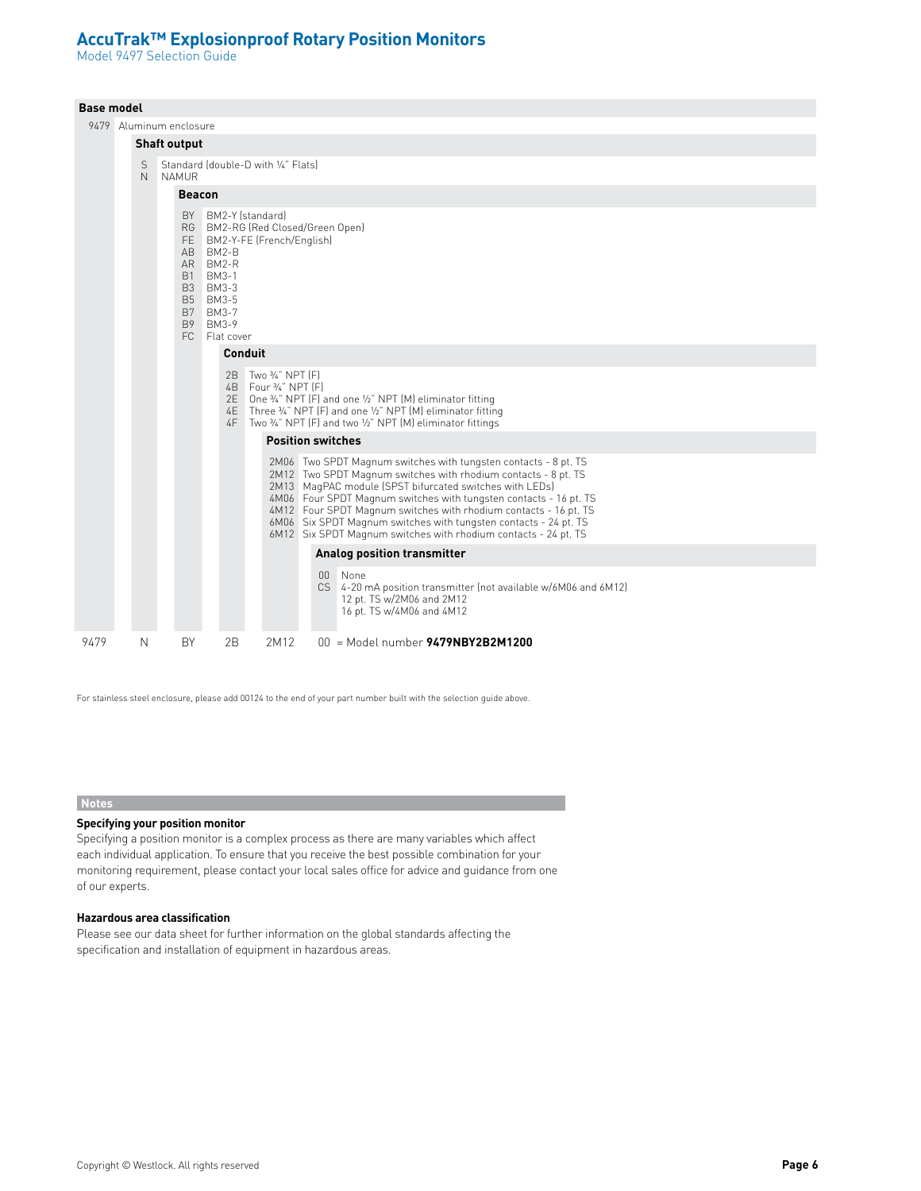Model 9497 Selection Guide

|      | <b>Base model</b> |                   |                     |                       |                                                                                                                    |         |                                                                                                                  |                                                                                                                                                                                                                                                                                                                                                                                                                                                                              |                                                                                                                                                                                          |  |  |  |  |  |  |
|------|-------------------|-------------------|---------------------|-----------------------|--------------------------------------------------------------------------------------------------------------------|---------|------------------------------------------------------------------------------------------------------------------|------------------------------------------------------------------------------------------------------------------------------------------------------------------------------------------------------------------------------------------------------------------------------------------------------------------------------------------------------------------------------------------------------------------------------------------------------------------------------|------------------------------------------------------------------------------------------------------------------------------------------------------------------------------------------|--|--|--|--|--|--|
|      |                   |                   |                     |                       | 9479 Aluminum enclosure                                                                                            |         |                                                                                                                  |                                                                                                                                                                                                                                                                                                                                                                                                                                                                              |                                                                                                                                                                                          |  |  |  |  |  |  |
|      |                   |                   | <b>Shaft output</b> |                       |                                                                                                                    |         |                                                                                                                  |                                                                                                                                                                                                                                                                                                                                                                                                                                                                              |                                                                                                                                                                                          |  |  |  |  |  |  |
|      |                   | S<br>$\mathsf{N}$ | <b>NAMUR</b>        |                       |                                                                                                                    |         | Standard (double-D with 1/4" Flats)                                                                              |                                                                                                                                                                                                                                                                                                                                                                                                                                                                              |                                                                                                                                                                                          |  |  |  |  |  |  |
|      |                   |                   |                     | <b>Beacon</b>         |                                                                                                                    |         |                                                                                                                  |                                                                                                                                                                                                                                                                                                                                                                                                                                                                              |                                                                                                                                                                                          |  |  |  |  |  |  |
|      |                   |                   |                     | B <sub>9</sub><br>FC. | BY BM2-Y (standard)<br>AB BM2-B<br>AR BM2-R<br>B1 BM3-1<br>B3 BM3-3<br>B5 BM3-5<br>B7 BM3-7<br>BM3-9<br>Flat cover | Conduit | RG BM2-RG (Red Closed/Green Open)<br>FE BM2-Y-FE (French/English)<br>2B Two 3/4" NPT [F]<br>4B Four 3/4" NPT [F] |                                                                                                                                                                                                                                                                                                                                                                                                                                                                              | 2E One 3/4" NPT (F) and one 1/2" NPT (M) eliminator fitting<br>4E Three 3/4" NPT (F) and one 1/2" NPT (M) eliminator fitting<br>4F Two %" NPT (F) and two %" NPT (M) eliminator fittings |  |  |  |  |  |  |
|      |                   |                   |                     |                       |                                                                                                                    |         | <b>Position switches</b>                                                                                         |                                                                                                                                                                                                                                                                                                                                                                                                                                                                              |                                                                                                                                                                                          |  |  |  |  |  |  |
|      |                   |                   |                     |                       |                                                                                                                    |         |                                                                                                                  | 2M06 Two SPDT Magnum switches with tungsten contacts - 8 pt. TS<br>2M12 Two SPDT Magnum switches with rhodium contacts - 8 pt. TS<br>2M13 MagPAC module (SPST bifurcated switches with LEDs)<br>4M06 Four SPDT Magnum switches with tungsten contacts - 16 pt. TS<br>4M12 Four SPDT Magnum switches with rhodium contacts - 16 pt. TS<br>6M06 Six SPDT Magnum switches with tungsten contacts - 24 pt. TS<br>6M12 Six SPDT Magnum switches with rhodium contacts - 24 pt. TS |                                                                                                                                                                                          |  |  |  |  |  |  |
|      |                   |                   |                     |                       |                                                                                                                    |         |                                                                                                                  |                                                                                                                                                                                                                                                                                                                                                                                                                                                                              | <b>Analog position transmitter</b>                                                                                                                                                       |  |  |  |  |  |  |
|      |                   |                   |                     |                       |                                                                                                                    |         |                                                                                                                  | 00                                                                                                                                                                                                                                                                                                                                                                                                                                                                           | None<br>CS 4-20 mA position transmitter (not available w/6M06 and 6M12)<br>12 pt. TS w/2M06 and 2M12<br>16 pt. TS w/4M06 and 4M12                                                        |  |  |  |  |  |  |
| 9479 |                   | N                 |                     | BY                    | 2B                                                                                                                 |         | 2M12                                                                                                             |                                                                                                                                                                                                                                                                                                                                                                                                                                                                              | $00 =$ Model number $9479$ NBY2B2M1200                                                                                                                                                   |  |  |  |  |  |  |

For stainless steel enclosure, please add 00124 to the end of your part number built with the selection guide above.

## **Notes**

## **Specifying your position monitor**

Specifying a position monitor is a complex process as there are many variables which affect each individual application. To ensure that you receive the best possible combination for your monitoring requirement, please contact your local sales office for advice and guidance from one of our experts.

## **Hazardous area classification**

Please see our data sheet for further information on the global standards affecting the specification and installation of equipment in hazardous areas.